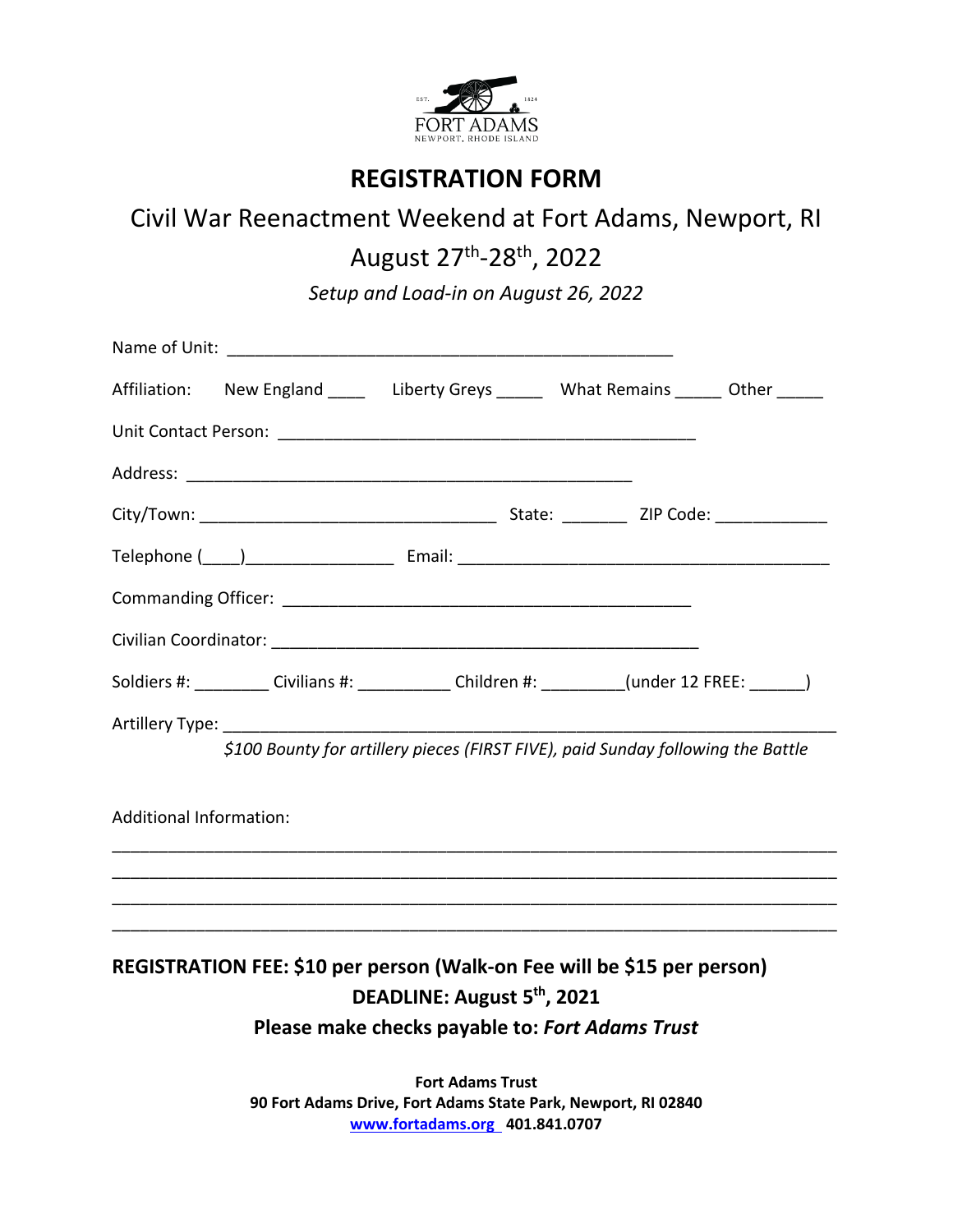

## **REGISTRATION FORM**

## Civil War Reenactment Weekend at Fort Adams, Newport, RI

August 27<sup>th</sup>-28<sup>th</sup>, 2022

*Setup and Load-in on August 26, 2022*

|                                                                                  | Affiliation: New England ______ Liberty Greys _______ What Remains ______ Other ______              |  |  |  |  |  |
|----------------------------------------------------------------------------------|-----------------------------------------------------------------------------------------------------|--|--|--|--|--|
|                                                                                  |                                                                                                     |  |  |  |  |  |
|                                                                                  |                                                                                                     |  |  |  |  |  |
|                                                                                  |                                                                                                     |  |  |  |  |  |
|                                                                                  |                                                                                                     |  |  |  |  |  |
|                                                                                  |                                                                                                     |  |  |  |  |  |
|                                                                                  |                                                                                                     |  |  |  |  |  |
|                                                                                  | Soldiers #: ___________ Civilians #: ______________ Children #: __________ (under 12 FREE: _______) |  |  |  |  |  |
| \$100 Bounty for artillery pieces (FIRST FIVE), paid Sunday following the Battle |                                                                                                     |  |  |  |  |  |
| <b>Additional Information:</b>                                                   |                                                                                                     |  |  |  |  |  |
|                                                                                  |                                                                                                     |  |  |  |  |  |
|                                                                                  |                                                                                                     |  |  |  |  |  |
| REGISTRATION FEE: \$10 per person (Walk-on Fee will be \$15 per person)          |                                                                                                     |  |  |  |  |  |
| DEADLINE: August 5 <sup>th</sup> , 2021                                          |                                                                                                     |  |  |  |  |  |
| Please make checks payable to: Fort Adams Trust                                  |                                                                                                     |  |  |  |  |  |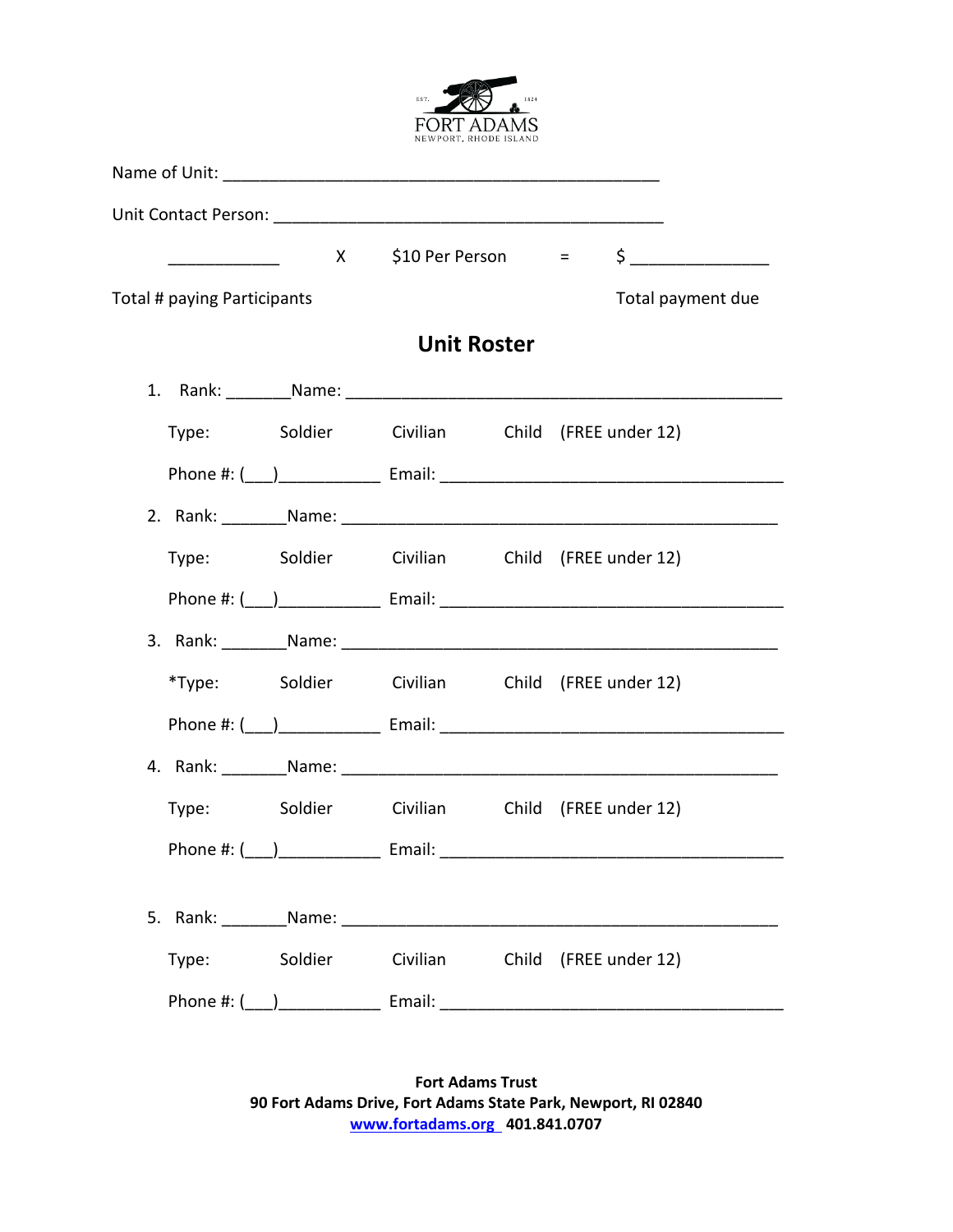

|                             | $\overline{\phantom{a}}$ . The contract of the contract of $\overline{\phantom{a}}$ |                                             |                                                                                                                                                                                                                                |  |  | $X = 510$ Per Person = $5$ |
|-----------------------------|-------------------------------------------------------------------------------------|---------------------------------------------|--------------------------------------------------------------------------------------------------------------------------------------------------------------------------------------------------------------------------------|--|--|----------------------------|
| Total # paying Participants |                                                                                     |                                             |                                                                                                                                                                                                                                |  |  | Total payment due          |
|                             |                                                                                     |                                             |                                                                                                                                                                                                                                |  |  |                            |
|                             |                                                                                     |                                             |                                                                                                                                                                                                                                |  |  |                            |
|                             |                                                                                     |                                             | Type: Soldier Civilian Child (FREE under 12)                                                                                                                                                                                   |  |  |                            |
|                             |                                                                                     |                                             |                                                                                                                                                                                                                                |  |  |                            |
|                             |                                                                                     |                                             |                                                                                                                                                                                                                                |  |  |                            |
|                             |                                                                                     |                                             | Type: Soldier Civilian Child (FREE under 12)                                                                                                                                                                                   |  |  |                            |
|                             |                                                                                     |                                             |                                                                                                                                                                                                                                |  |  |                            |
|                             |                                                                                     |                                             |                                                                                                                                                                                                                                |  |  |                            |
|                             |                                                                                     |                                             | *Type: Soldier Civilian Child (FREE under 12)                                                                                                                                                                                  |  |  |                            |
|                             |                                                                                     |                                             |                                                                                                                                                                                                                                |  |  |                            |
|                             |                                                                                     |                                             |                                                                                                                                                                                                                                |  |  |                            |
|                             |                                                                                     |                                             | Type: Soldier Civilian Child (FREE under 12)                                                                                                                                                                                   |  |  |                            |
|                             |                                                                                     | Phone #: (___)______________________ Email: |                                                                                                                                                                                                                                |  |  |                            |
|                             |                                                                                     |                                             |                                                                                                                                                                                                                                |  |  |                            |
|                             |                                                                                     |                                             | 5. Rank: Name: Name: Name: Name: Name: Name: Name: Name: Name: Name: Name: Name: Name: Name: Name: Name: Name: Name: Name: Name: Name: Name: Name: Name: Name: Name: Name: Name: Name: Name: Name: Name: Name: Name: Name: Nam |  |  |                            |
|                             |                                                                                     | Type: Soldier                               | Civilian                                                                                                                                                                                                                       |  |  | Child (FREE under 12)      |
|                             |                                                                                     |                                             |                                                                                                                                                                                                                                |  |  |                            |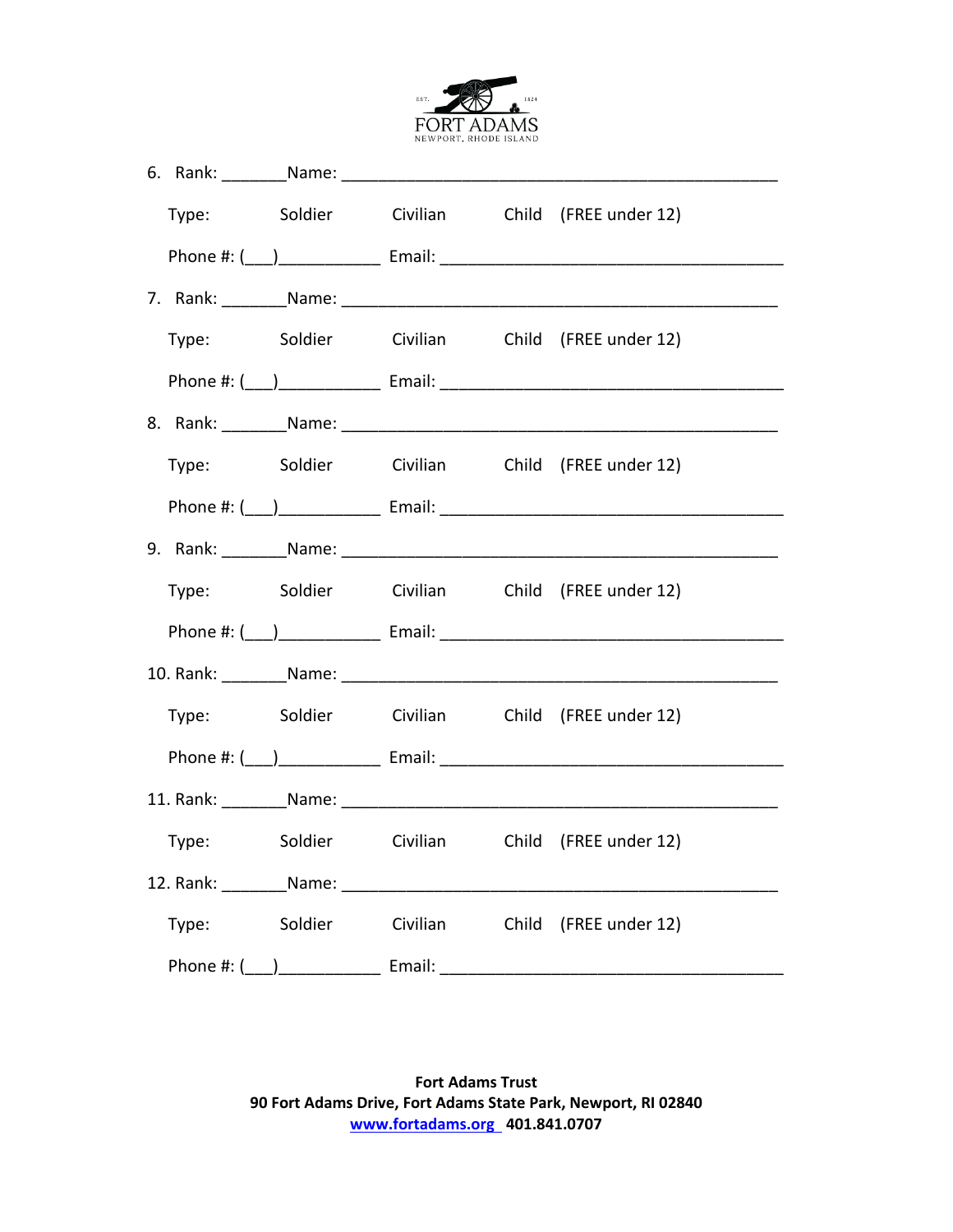

|                                                                                                                                                                                                                                |  |  |  | Type: Soldier Civilian Child (FREE under 12)                                                                                                                                                                                   |
|--------------------------------------------------------------------------------------------------------------------------------------------------------------------------------------------------------------------------------|--|--|--|--------------------------------------------------------------------------------------------------------------------------------------------------------------------------------------------------------------------------------|
|                                                                                                                                                                                                                                |  |  |  |                                                                                                                                                                                                                                |
|                                                                                                                                                                                                                                |  |  |  | 7. Rank: Name: Name: Name: Name: Name: Name: Name: Name: Name: Name: Name: Name: Name: Name: Name: Name: Name: Name: Name: Name: Name: Name: Name: Name: Name: Name: Name: Name: Name: Name: Name: Name: Name: Name: Name: Nam |
|                                                                                                                                                                                                                                |  |  |  | Type: Soldier Civilian Child (FREE under 12)                                                                                                                                                                                   |
|                                                                                                                                                                                                                                |  |  |  |                                                                                                                                                                                                                                |
|                                                                                                                                                                                                                                |  |  |  |                                                                                                                                                                                                                                |
|                                                                                                                                                                                                                                |  |  |  | Type: Soldier Civilian Child (FREE under 12)                                                                                                                                                                                   |
|                                                                                                                                                                                                                                |  |  |  |                                                                                                                                                                                                                                |
|                                                                                                                                                                                                                                |  |  |  |                                                                                                                                                                                                                                |
|                                                                                                                                                                                                                                |  |  |  | Type: Soldier Civilian Child (FREE under 12)                                                                                                                                                                                   |
|                                                                                                                                                                                                                                |  |  |  |                                                                                                                                                                                                                                |
|                                                                                                                                                                                                                                |  |  |  |                                                                                                                                                                                                                                |
|                                                                                                                                                                                                                                |  |  |  | Type: Soldier Civilian Child (FREE under 12)                                                                                                                                                                                   |
|                                                                                                                                                                                                                                |  |  |  |                                                                                                                                                                                                                                |
| 11. Rank: Name: Name: Name: Name: Name: Name: Name: Name: Name: Name: Name: Name: Name: Name: Name: Name: Name: Name: Name: Name: Name: Name: Name: Name: Name: Name: Name: Name: Name: Name: Name: Name: Name: Name: Name: Na |  |  |  |                                                                                                                                                                                                                                |
|                                                                                                                                                                                                                                |  |  |  | Type: Soldier Civilian Child (FREE under 12)                                                                                                                                                                                   |
|                                                                                                                                                                                                                                |  |  |  | 12. Rank: Name: Name: Name: Name: Name: Name: Name: Name: Name: Name: Name: Name: Name: Name: Name: Name: Name: Name: Name: Name: Name: Name: Name: Name: Name: Name: Name: Name: Name: Name: Name: Name: Name: Name: Name: Na |
|                                                                                                                                                                                                                                |  |  |  | Type: Soldier Civilian Child (FREE under 12)                                                                                                                                                                                   |
|                                                                                                                                                                                                                                |  |  |  |                                                                                                                                                                                                                                |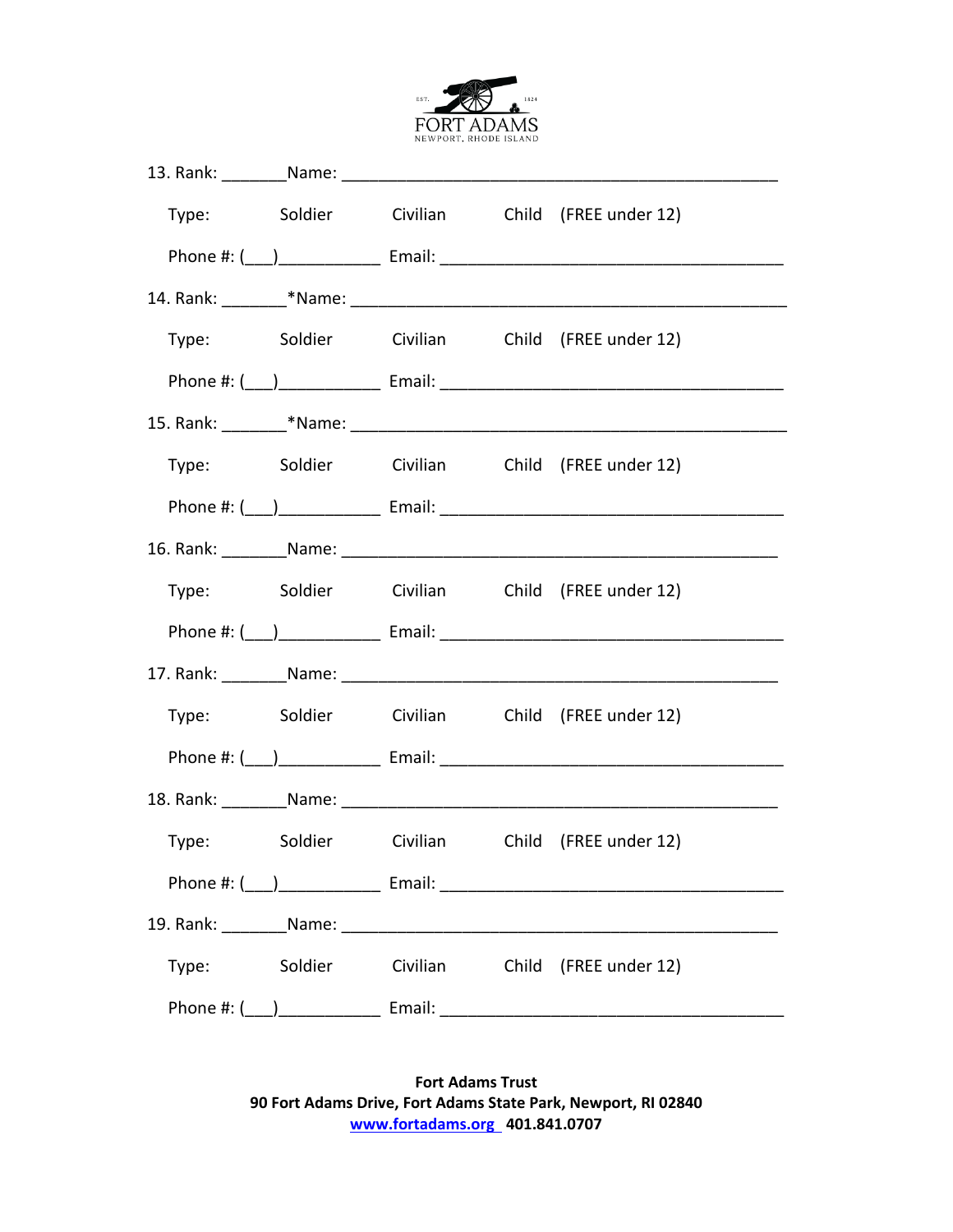

|                        |  | Type: Soldier Civilian Child (FREE under 12) |
|------------------------|--|----------------------------------------------|
|                        |  |                                              |
|                        |  |                                              |
|                        |  | Type: Soldier Civilian Child (FREE under 12) |
|                        |  |                                              |
|                        |  |                                              |
|                        |  | Type: Soldier Civilian Child (FREE under 12) |
|                        |  |                                              |
|                        |  |                                              |
|                        |  | Type: Soldier Civilian Child (FREE under 12) |
|                        |  |                                              |
|                        |  |                                              |
|                        |  | Type: Soldier Civilian Child (FREE under 12) |
|                        |  |                                              |
|                        |  |                                              |
|                        |  | Type: Soldier Civilian Child (FREE under 12) |
|                        |  |                                              |
|                        |  |                                              |
| Type: Soldier Civilian |  | Child (FREE under 12)                        |
|                        |  |                                              |